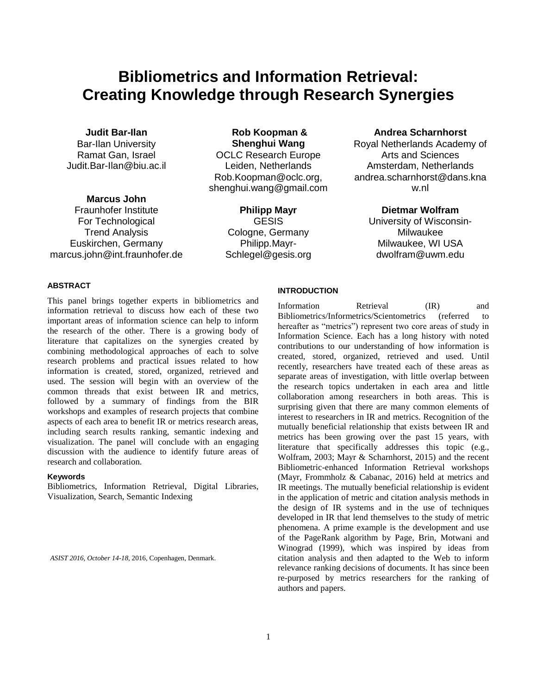# **Bibliometrics and Information Retrieval: Creating Knowledge through Research Synergies**

**Judit Bar-Ilan**

Bar-Ilan University Ramat Gan, Israel Judit.Bar-Ilan@biu.ac.il

# **Marcus John**

Fraunhofer Institute For Technological Trend Analysis Euskirchen, Germany marcus.john@int.fraunhofer.de

**Rob Koopman & Shenghui Wang** OCLC Research Europe Leiden, Netherlands Rob.Koopman@oclc.org, shenghui.wang@gmail.com

> **Philipp Mayr GESIS** Cologne, Germany Philipp.Mayr-Schlegel@gesis.org

**Andrea Scharnhorst**

Royal Netherlands Academy of Arts and Sciences Amsterdam, Netherlands andrea.scharnhorst@dans.kna w.nl

> **Dietmar Wolfram** University of Wisconsin-Milwaukee Milwaukee, WI USA dwolfram@uwm.edu

# **ABSTRACT**

This panel brings together experts in bibliometrics and information retrieval to discuss how each of these two important areas of information science can help to inform the research of the other. There is a growing body of literature that capitalizes on the synergies created by combining methodological approaches of each to solve research problems and practical issues related to how information is created, stored, organized, retrieved and used. The session will begin with an overview of the common threads that exist between IR and metrics, followed by a summary of findings from the BIR workshops and examples of research projects that combine aspects of each area to benefit IR or metrics research areas, including search results ranking, semantic indexing and visualization. The panel will conclude with an engaging discussion with the audience to identify future areas of research and collaboration.

#### **Keywords**

Bibliometrics, Information Retrieval, Digital Libraries, Visualization, Search, Semantic Indexing

*ASIST 2016, October 14-18*, 2016, Copenhagen, Denmark.

# **INTRODUCTION**

Information Retrieval (IR) and Bibliometrics/Informetrics/Scientometrics (referred to hereafter as "metrics" represent two core areas of study in Information Science. Each has a long history with noted contributions to our understanding of how information is created, stored, organized, retrieved and used. Until recently, researchers have treated each of these areas as separate areas of investigation, with little overlap between the research topics undertaken in each area and little collaboration among researchers in both areas. This is surprising given that there are many common elements of interest to researchers in IR and metrics. Recognition of the mutually beneficial relationship that exists between IR and metrics has been growing over the past 15 years, with literature that specifically addresses this topic (e.g., Wolfram, 2003; Mayr & Scharnhorst, 2015) and the recent Bibliometric-enhanced Information Retrieval workshops (Mayr, Frommholz & Cabanac, 2016) held at metrics and IR meetings. The mutually beneficial relationship is evident in the application of metric and citation analysis methods in the design of IR systems and in the use of techniques developed in IR that lend themselves to the study of metric phenomena. A prime example is the development and use of the PageRank algorithm by Page, Brin, Motwani and Winograd (1999), which was inspired by ideas from citation analysis and then adapted to the Web to inform relevance ranking decisions of documents. It has since been re-purposed by metrics researchers for the ranking of authors and papers.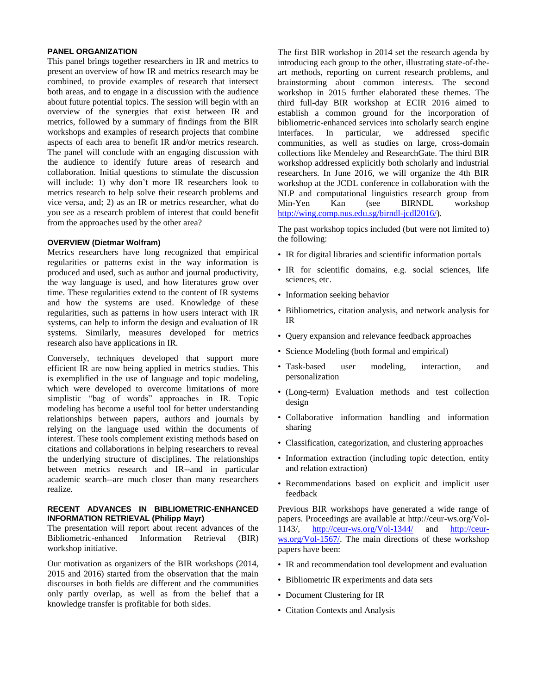#### **PANEL ORGANIZATION**

This panel brings together researchers in IR and metrics to present an overview of how IR and metrics research may be combined, to provide examples of research that intersect both areas, and to engage in a discussion with the audience about future potential topics. The session will begin with an overview of the synergies that exist between IR and metrics, followed by a summary of findings from the BIR workshops and examples of research projects that combine aspects of each area to benefit IR and/or metrics research. The panel will conclude with an engaging discussion with the audience to identify future areas of research and collaboration. Initial questions to stimulate the discussion will include: 1) why don't more IR researchers look to metrics research to help solve their research problems and vice versa, and; 2) as an IR or metrics researcher, what do you see as a research problem of interest that could benefit from the approaches used by the other area?

#### **OVERVIEW (Dietmar Wolfram)**

Metrics researchers have long recognized that empirical regularities or patterns exist in the way information is produced and used, such as author and journal productivity, the way language is used, and how literatures grow over time. These regularities extend to the content of IR systems and how the systems are used. Knowledge of these regularities, such as patterns in how users interact with IR systems, can help to inform the design and evaluation of IR systems. Similarly, measures developed for metrics research also have applications in IR.

Conversely, techniques developed that support more efficient IR are now being applied in metrics studies. This is exemplified in the use of language and topic modeling, which were developed to overcome limitations of more simplistic "bag of words" approaches in IR. Topic modeling has become a useful tool for better understanding relationships between papers, authors and journals by relying on the language used within the documents of interest. These tools complement existing methods based on citations and collaborations in helping researchers to reveal the underlying structure of disciplines. The relationships between metrics research and IR--and in particular academic search--are much closer than many researchers realize.

#### **RECENT ADVANCES IN BIBLIOMETRIC-ENHANCED INFORMATION RETRIEVAL (Philipp Mayr)**

The presentation will report about recent advances of the Bibliometric-enhanced Information Retrieval (BIR) workshop initiative.

Our motivation as organizers of the BIR workshops (2014, 2015 and 2016) started from the observation that the main discourses in both fields are different and the communities only partly overlap, as well as from the belief that a knowledge transfer is profitable for both sides.

The first BIR workshop in 2014 set the research agenda by introducing each group to the other, illustrating state-of-theart methods, reporting on current research problems, and brainstorming about common interests. The second workshop in 2015 further elaborated these themes. The third full-day BIR workshop at ECIR 2016 aimed to establish a common ground for the incorporation of bibliometric-enhanced services into scholarly search engine interfaces. In particular, we addressed specific communities, as well as studies on large, cross-domain collections like Mendeley and ResearchGate. The third BIR workshop addressed explicitly both scholarly and industrial researchers. In June 2016, we will organize the 4th BIR workshop at the JCDL conference in collaboration with the NLP and computational linguistics research group from Min-Yen Kan (see BIRNDL workshop [http://wing.comp.nus.edu.sg/birndl-jcdl2016/\)](http://wing.comp.nus.edu.sg/birndl-jcdl2016/).

The past workshop topics included (but were not limited to) the following:

- IR for digital libraries and scientific information portals
- IR for scientific domains, e.g. social sciences, life sciences, etc.
- Information seeking behavior
- Bibliometrics, citation analysis, and network analysis for IR
- Query expansion and relevance feedback approaches
- Science Modeling (both formal and empirical)
- Task-based user modeling, interaction, and personalization
- (Long-term) Evaluation methods and test collection design
- Collaborative information handling and information sharing
- Classification, categorization, and clustering approaches
- Information extraction (including topic detection, entity and relation extraction)
- Recommendations based on explicit and implicit user feedback

Previous BIR workshops have generated a wide range of papers. Proceedings are available at http://ceur-ws.org/Vol-1143/, <http://ceur-ws.org/Vol-1344/> and [http://ceur](http://ceur-ws.org/Vol-1567/)[ws.org/Vol-1567/.](http://ceur-ws.org/Vol-1567/) The main directions of these workshop papers have been:

- IR and recommendation tool development and evaluation
- Bibliometric IR experiments and data sets
- Document Clustering for IR
- Citation Contexts and Analysis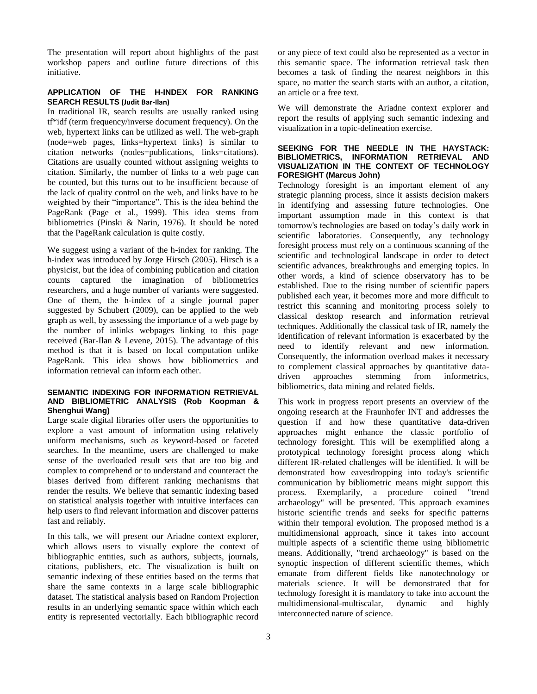The presentation will report about highlights of the past workshop papers and outline future directions of this initiative.

# **APPLICATION OF THE H-INDEX FOR RANKING SEARCH RESULTS (Judit Bar-Ilan)**

In traditional IR, search results are usually ranked using tf\*idf (term frequency/inverse document frequency). On the web, hypertext links can be utilized as well. The web-graph (node=web pages, links=hypertext links) is similar to citation networks (nodes=publications, links=citations). Citations are usually counted without assigning weights to citation. Similarly, the number of links to a web page can be counted, but this turns out to be insufficient because of the lack of quality control on the web, and links have to be weighted by their "importance". This is the idea behind the PageRank (Page et al., 1999). This idea stems from bibliometrics (Pinski & Narin, 1976). It should be noted that the PageRank calculation is quite costly.

We suggest using a variant of the h-index for ranking. The h-index was introduced by Jorge Hirsch (2005). Hirsch is a physicist, but the idea of combining publication and citation counts captured the imagination of bibliometrics researchers, and a huge number of variants were suggested. One of them, the h-index of a single journal paper suggested by Schubert (2009), can be applied to the web graph as well, by assessing the importance of a web page by the number of inlinks webpages linking to this page received (Bar-Ilan & Levene, 2015). The advantage of this method is that it is based on local computation unlike PageRank. This idea shows how bibliometrics and information retrieval can inform each other.

### **SEMANTIC INDEXING FOR INFORMATION RETRIEVAL AND BIBLIOMETRIC ANALYSIS (Rob Koopman & Shenghui Wang)**

Large scale digital libraries offer users the opportunities to explore a vast amount of information using relatively uniform mechanisms, such as keyword-based or faceted searches. In the meantime, users are challenged to make sense of the overloaded result sets that are too big and complex to comprehend or to understand and counteract the biases derived from different ranking mechanisms that render the results. We believe that semantic indexing based on statistical analysis together with intuitive interfaces can help users to find relevant information and discover patterns fast and reliably.

In this talk, we will present our Ariadne context explorer, which allows users to visually explore the context of bibliographic entities, such as authors, subjects, journals, citations, publishers, etc. The visualization is built on semantic indexing of these entities based on the terms that share the same contexts in a large scale bibliographic dataset. The statistical analysis based on Random Projection results in an underlying semantic space within which each entity is represented vectorially. Each bibliographic record

or any piece of text could also be represented as a vector in this semantic space. The information retrieval task then becomes a task of finding the nearest neighbors in this space, no matter the search starts with an author, a citation, an article or a free text.

We will demonstrate the Ariadne context explorer and report the results of applying such semantic indexing and visualization in a topic-delineation exercise.

#### **SEEKING FOR THE NEEDLE IN THE HAYSTACK: BIBLIOMETRICS, INFORMATION RETRIEVAL AND VISUALIZATION IN THE CONTEXT OF TECHNOLOGY FORESIGHT (Marcus John)**

Technology foresight is an important element of any strategic planning process, since it assists decision makers in identifying and assessing future technologies. One important assumption made in this context is that tomorrow's technologies are based on today's daily work in scientific laboratories. Consequently, any technology foresight process must rely on a continuous scanning of the scientific and technological landscape in order to detect scientific advances, breakthroughs and emerging topics. In other words, a kind of science observatory has to be established. Due to the rising number of scientific papers published each year, it becomes more and more difficult to restrict this scanning and monitoring process solely to classical desktop research and information retrieval techniques. Additionally the classical task of IR, namely the identification of relevant information is exacerbated by the need to identify relevant and new information. Consequently, the information overload makes it necessary to complement classical approaches by quantitative datadriven approaches stemming from informetrics, bibliometrics, data mining and related fields.

This work in progress report presents an overview of the ongoing research at the Fraunhofer INT and addresses the question if and how these quantitative data-driven approaches might enhance the classic portfolio of technology foresight. This will be exemplified along a prototypical technology foresight process along which different IR-related challenges will be identified. It will be demonstrated how eavesdropping into today's scientific communication by bibliometric means might support this process. Exemplarily, a procedure coined "trend archaeology" will be presented. This approach examines historic scientific trends and seeks for specific patterns within their temporal evolution. The proposed method is a multidimensional approach, since it takes into account multiple aspects of a scientific theme using bibliometric means. Additionally, "trend archaeology" is based on the synoptic inspection of different scientific themes, which emanate from different fields like nanotechnology or materials science. It will be demonstrated that for technology foresight it is mandatory to take into account the multidimensional-multiscalar, dynamic and highly interconnected nature of science.